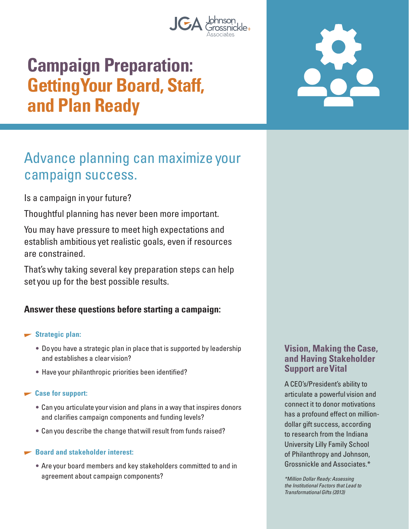

# **Campaign Preparation: Getting Your Board, Staff, and Plan Ready**

## Advance planning can maximize your campaign success.

Is a campaign in your future?

Thoughtful planning has never been more important.

You may have pressure to meet high expectations and establish ambitious yet realistic goals, even if resources are constrained.

That's why taking several key preparation steps can help set you up for the best possible results.

## **Answer these questions before starting a campaign:**

#### **Strategic plan:**

- Do you have a strategic plan in place that is supported by leadership and establishes a clear vision?
- Have your philanthropic priorities been identified?

#### **Case for support:**

- Can you articulate your vision and plans in a way that inspires donors and clarifies campaign components and funding levels?
- Can you describe the change that will result from funds raised?

#### **Board and stakeholder interest:**

• Are your board members and key stakeholders committed to and in agreement about campaign components?

## **Vision, Making the Case, and Having Stakeholder Support are Vital**

A CEO's/President's ability to articulate a powerful vision and connect it to donor motivations has a profound effect on milliondollar gift success, according to research from the Indiana University Lilly Family School of Philanthropy and Johnson, Grossnickle and Associates.\*

\*Million Dollar Ready: Assessing the Institutional Factors that Lead to Transformational Gifts (2013)